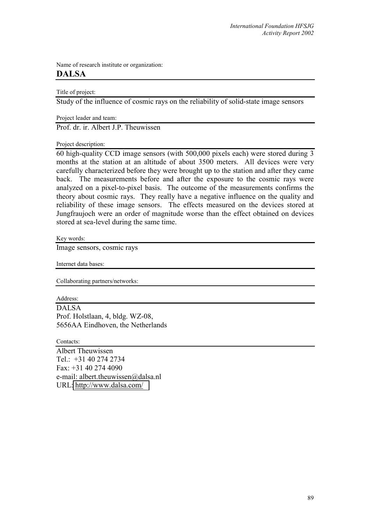Name of research institute or organization: **DALSA** 

Title of project:

Study of the influence of cosmic rays on the reliability of solid-state image sensors

Project leader and team:

Prof. dr. ir. Albert J.P. Theuwissen

Project description:

60 high-quality CCD image sensors (with 500,000 pixels each) were stored during 3 months at the station at an altitude of about 3500 meters. All devices were very carefully characterized before they were brought up to the station and after they came back. The measurements before and after the exposure to the cosmic rays were analyzed on a pixel-to-pixel basis. The outcome of the measurements confirms the theory about cosmic rays. They really have a negative influence on the quality and reliability of these image sensors. The effects measured on the devices stored at Jungfraujoch were an order of magnitude worse than the effect obtained on devices stored at sea-level during the same time.

Key words:

Image sensors, cosmic rays

Internet data bases:

Collaborating partners/networks:

Address: DALSA Prof. Holstlaan, 4, bldg. WZ-08, 5656AA Eindhoven, the Netherlands

Contacts: Albert Theuwissen Tel.: +31 40 274 2734 Fax: +31 40 274 4090 e-mail: albert.theuwissen@dalsa.nl URL:<http://www.dalsa.com/>